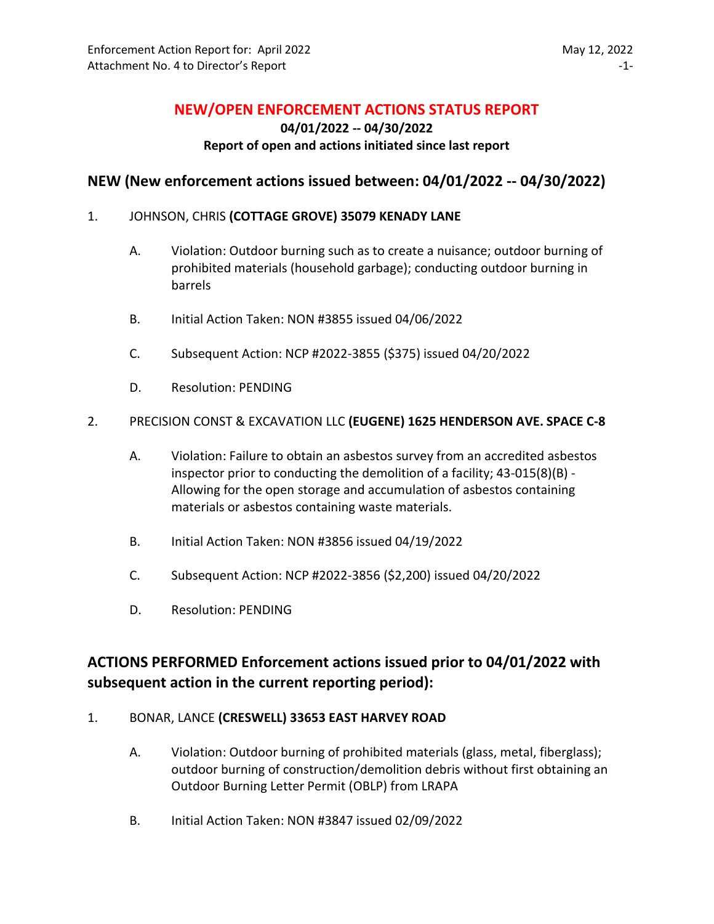## **NEW/OPEN ENFORCEMENT ACTIONS STATUS REPORT**

**04/01/2022 -- 04/30/2022**

## **Report of open and actions initiated since last report**

## **NEW (New enforcement actions issued between: 04/01/2022 -- 04/30/2022)**

## 1. JOHNSON, CHRIS **(COTTAGE GROVE) 35079 KENADY LANE**

- A. Violation: Outdoor burning such as to create a nuisance; outdoor burning of prohibited materials (household garbage); conducting outdoor burning in barrels
- B. Initial Action Taken: NON #3855 issued 04/06/2022
- C. Subsequent Action: NCP #2022-3855 (\$375) issued 04/20/2022
- D. Resolution: PENDING

## 2. PRECISION CONST & EXCAVATION LLC **(EUGENE) 1625 HENDERSON AVE. SPACE C-8**

- A. Violation: Failure to obtain an asbestos survey from an accredited asbestos inspector prior to conducting the demolition of a facility; 43-015(8)(B) - Allowing for the open storage and accumulation of asbestos containing materials or asbestos containing waste materials.
- B. Initial Action Taken: NON #3856 issued 04/19/2022
- C. Subsequent Action: NCP #2022-3856 (\$2,200) issued 04/20/2022
- D. Resolution: PENDING

# **ACTIONS PERFORMED Enforcement actions issued prior to 04/01/2022 with subsequent action in the current reporting period):**

## 1. BONAR, LANCE **(CRESWELL) 33653 EAST HARVEY ROAD**

- A. Violation: Outdoor burning of prohibited materials (glass, metal, fiberglass); outdoor burning of construction/demolition debris without first obtaining an Outdoor Burning Letter Permit (OBLP) from LRAPA
- B. Initial Action Taken: NON #3847 issued 02/09/2022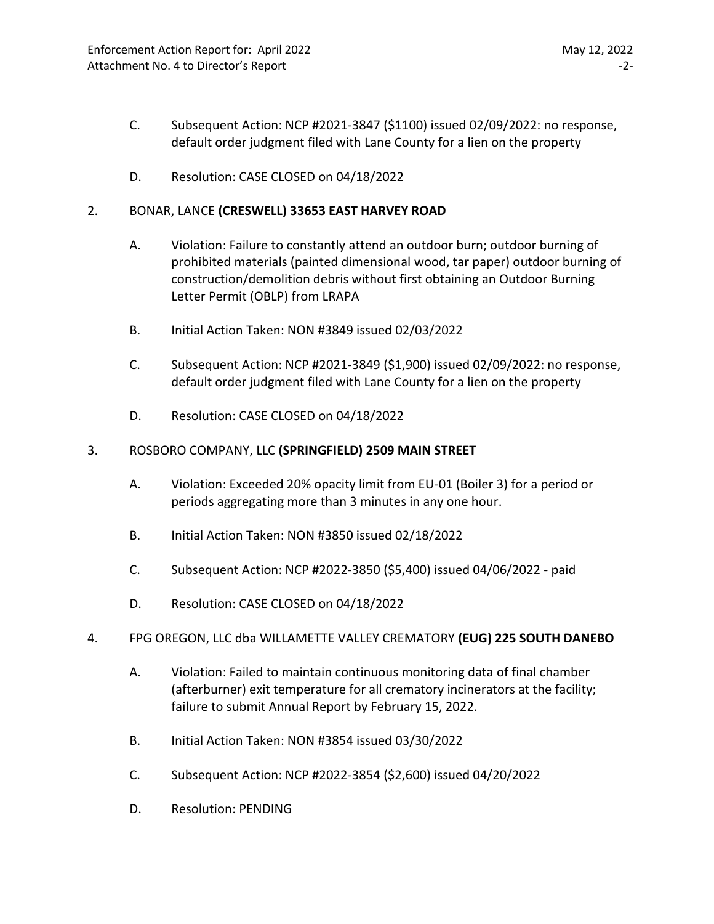- C. Subsequent Action: NCP #2021-3847 (\$1100) issued 02/09/2022: no response, default order judgment filed with Lane County for a lien on the property
- D. Resolution: CASE CLOSED on 04/18/2022

## 2. BONAR, LANCE **(CRESWELL) 33653 EAST HARVEY ROAD**

- A. Violation: Failure to constantly attend an outdoor burn; outdoor burning of prohibited materials (painted dimensional wood, tar paper) outdoor burning of construction/demolition debris without first obtaining an Outdoor Burning Letter Permit (OBLP) from LRAPA
- B. Initial Action Taken: NON #3849 issued 02/03/2022
- C. Subsequent Action: NCP #2021-3849 (\$1,900) issued 02/09/2022: no response, default order judgment filed with Lane County for a lien on the property
- D. Resolution: CASE CLOSED on 04/18/2022

#### 3. ROSBORO COMPANY, LLC **(SPRINGFIELD) 2509 MAIN STREET**

- A. Violation: Exceeded 20% opacity limit from EU-01 (Boiler 3) for a period or periods aggregating more than 3 minutes in any one hour.
- B. Initial Action Taken: NON #3850 issued 02/18/2022
- C. Subsequent Action: NCP #2022-3850 (\$5,400) issued 04/06/2022 paid
- D. Resolution: CASE CLOSED on 04/18/2022

#### 4. FPG OREGON, LLC dba WILLAMETTE VALLEY CREMATORY **(EUG) 225 SOUTH DANEBO**

- A. Violation: Failed to maintain continuous monitoring data of final chamber (afterburner) exit temperature for all crematory incinerators at the facility; failure to submit Annual Report by February 15, 2022.
- B. Initial Action Taken: NON #3854 issued 03/30/2022
- C. Subsequent Action: NCP #2022-3854 (\$2,600) issued 04/20/2022
- D. Resolution: PENDING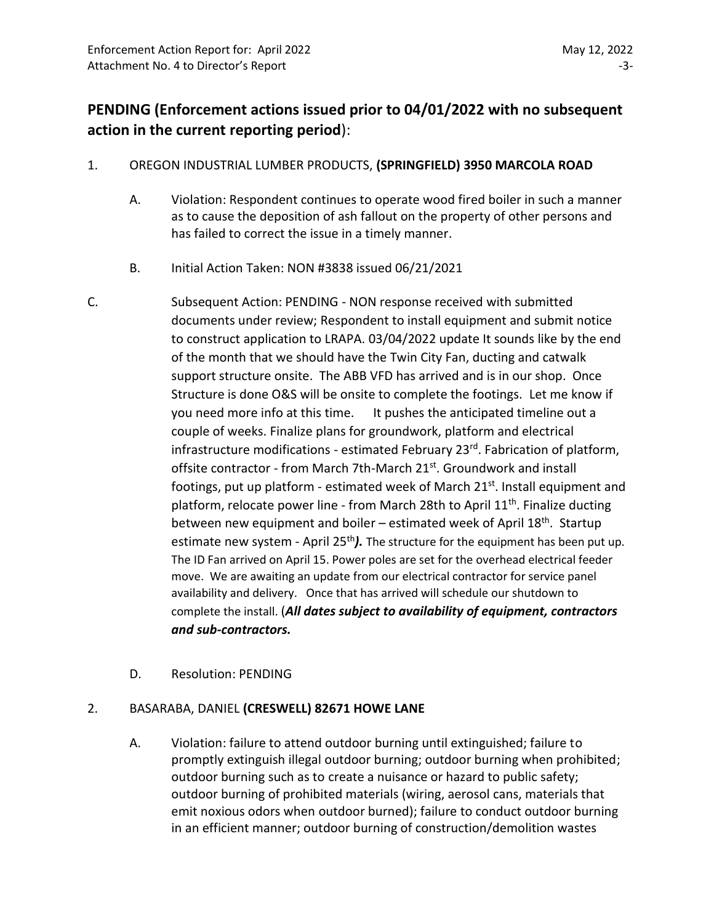# **PENDING (Enforcement actions issued prior to 04/01/2022 with no subsequent action in the current reporting period**):

## 1. OREGON INDUSTRIAL LUMBER PRODUCTS, **(SPRINGFIELD) 3950 MARCOLA ROAD**

- A. Violation: Respondent continues to operate wood fired boiler in such a manner as to cause the deposition of ash fallout on the property of other persons and has failed to correct the issue in a timely manner.
- B. Initial Action Taken: NON #3838 issued 06/21/2021
- C. Subsequent Action: PENDING NON response received with submitted documents under review; Respondent to install equipment and submit notice to construct application to LRAPA. 03/04/2022 update It sounds like by the end of the month that we should have the Twin City Fan, ducting and catwalk support structure onsite. The ABB VFD has arrived and is in our shop. Once Structure is done O&S will be onsite to complete the footings. Let me know if you need more info at this time. It pushes the anticipated timeline out a couple of weeks. Finalize plans for groundwork, platform and electrical infrastructure modifications - estimated February 23<sup>rd</sup>. Fabrication of platform, offsite contractor - from March 7th-March 21<sup>st</sup>. Groundwork and install footings, put up platform - estimated week of March 21<sup>st</sup>. Install equipment and platform, relocate power line - from March 28th to April 11<sup>th</sup>. Finalize ducting between new equipment and boiler – estimated week of April 18<sup>th</sup>. Startup estimate new system - April 25<sup>th</sup>). The structure for the equipment has been put up. The ID Fan arrived on April 15. Power poles are set for the overhead electrical feeder move. We are awaiting an update from our electrical contractor for service panel availability and delivery. Once that has arrived will schedule our shutdown to complete the install. (*All dates subject to availability of equipment, contractors and sub-contractors.*
	- D. Resolution: PENDING

## 2. BASARABA, DANIEL **(CRESWELL) 82671 HOWE LANE**

A. Violation: failure to attend outdoor burning until extinguished; failure to promptly extinguish illegal outdoor burning; outdoor burning when prohibited; outdoor burning such as to create a nuisance or hazard to public safety; outdoor burning of prohibited materials (wiring, aerosol cans, materials that emit noxious odors when outdoor burned); failure to conduct outdoor burning in an efficient manner; outdoor burning of construction/demolition wastes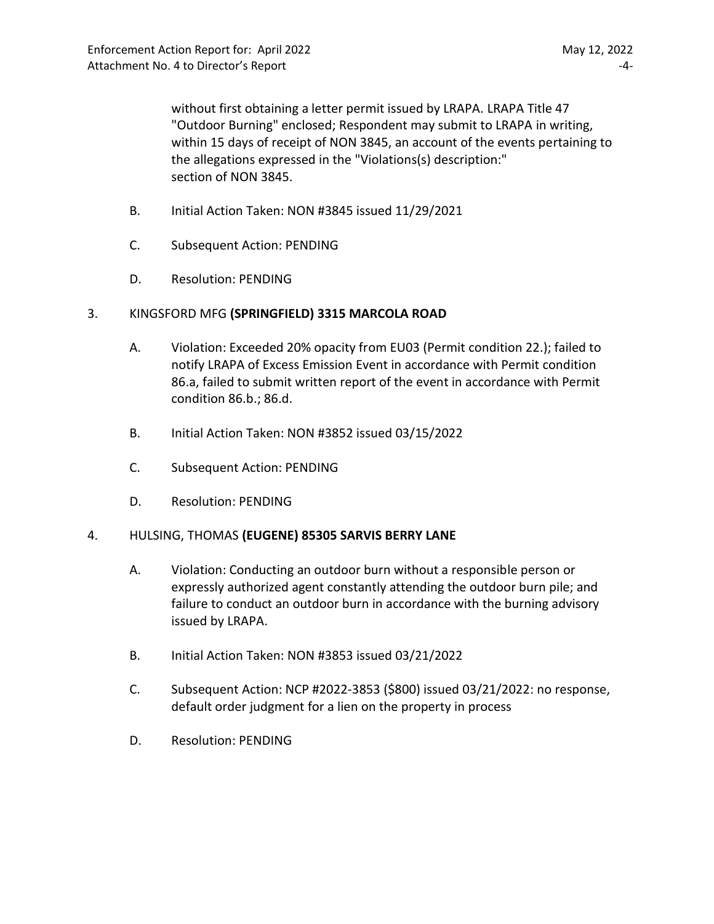without first obtaining a letter permit issued by LRAPA. LRAPA Title 47 "Outdoor Burning" enclosed; Respondent may submit to LRAPA in writing, within 15 days of receipt of NON 3845, an account of the events pertaining to the allegations expressed in the "Violations(s) description:" section of NON 3845.

- B. Initial Action Taken: NON #3845 issued 11/29/2021
- C. Subsequent Action: PENDING
- D. Resolution: PENDING

## 3. KINGSFORD MFG **(SPRINGFIELD) 3315 MARCOLA ROAD**

- A. Violation: Exceeded 20% opacity from EU03 (Permit condition 22.); failed to notify LRAPA of Excess Emission Event in accordance with Permit condition 86.a, failed to submit written report of the event in accordance with Permit condition 86.b.; 86.d.
- B. Initial Action Taken: NON #3852 issued 03/15/2022
- C. Subsequent Action: PENDING
- D. Resolution: PENDING

## 4. HULSING, THOMAS **(EUGENE) 85305 SARVIS BERRY LANE**

- A. Violation: Conducting an outdoor burn without a responsible person or expressly authorized agent constantly attending the outdoor burn pile; and failure to conduct an outdoor burn in accordance with the burning advisory issued by LRAPA.
- B. Initial Action Taken: NON #3853 issued 03/21/2022
- C. Subsequent Action: NCP #2022-3853 (\$800) issued 03/21/2022: no response, default order judgment for a lien on the property in process
- D. Resolution: PENDING